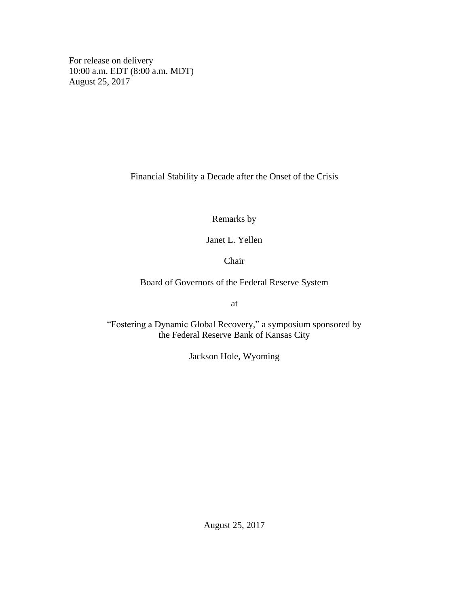For release on delivery 10:00 a.m. EDT (8:00 a.m. MDT) August 25, 2017

Financial Stability a Decade after the Onset of the Crisis

Remarks by

Janet L. Yellen

Chair

Board of Governors of the Federal Reserve System

at

"Fostering a Dynamic Global Recovery," a symposium sponsored by the Federal Reserve Bank of Kansas City

Jackson Hole, Wyoming

August 25, 2017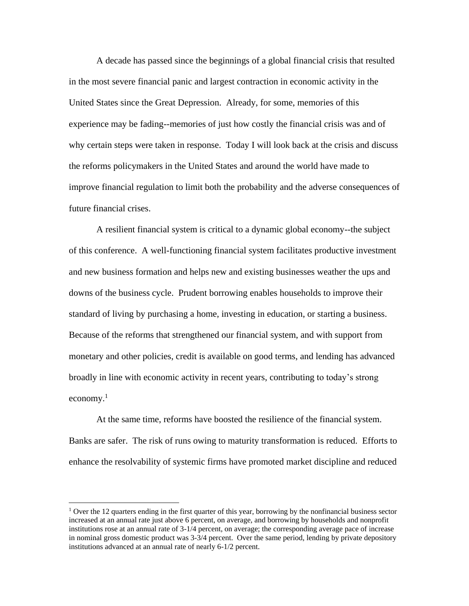A decade has passed since the beginnings of a global financial crisis that resulted in the most severe financial panic and largest contraction in economic activity in the United States since the Great Depression. Already, for some, memories of this experience may be fading--memories of just how costly the financial crisis was and of why certain steps were taken in response. Today I will look back at the crisis and discuss the reforms policymakers in the United States and around the world have made to improve financial regulation to limit both the probability and the adverse consequences of future financial crises.

A resilient financial system is critical to a dynamic global economy--the subject of this conference. A well-functioning financial system facilitates productive investment and new business formation and helps new and existing businesses weather the ups and downs of the business cycle. Prudent borrowing enables households to improve their standard of living by purchasing a home, investing in education, or starting a business. Because of the reforms that strengthened our financial system, and with support from monetary and other policies, credit is available on good terms, and lending has advanced broadly in line with economic activity in recent years, contributing to today's strong economy. 1

At the same time, reforms have boosted the resilience of the financial system. Banks are safer. The risk of runs owing to maturity transformation is reduced. Efforts to enhance the resolvability of systemic firms have promoted market discipline and reduced

<sup>&</sup>lt;sup>1</sup> Over the 12 quarters ending in the first quarter of this year, borrowing by the nonfinancial business sector increased at an annual rate just above 6 percent, on average, and borrowing by households and nonprofit institutions rose at an annual rate of 3-1/4 percent, on average; the corresponding average pace of increase in nominal gross domestic product was 3-3/4 percent. Over the same period, lending by private depository institutions advanced at an annual rate of nearly 6-1/2 percent.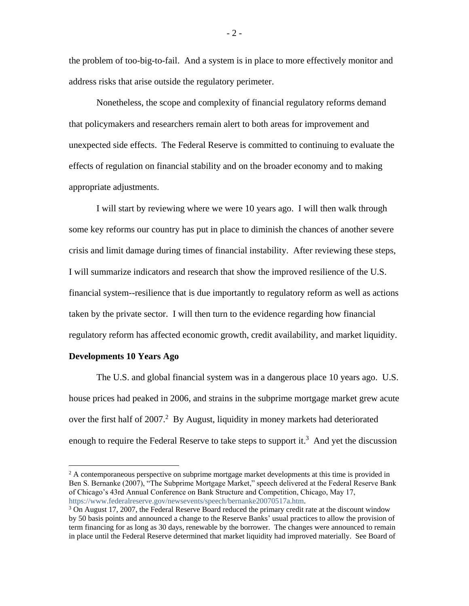the problem of too-big-to-fail. And a system is in place to more effectively monitor and address risks that arise outside the regulatory perimeter.

Nonetheless, the scope and complexity of financial regulatory reforms demand that policymakers and researchers remain alert to both areas for improvement and unexpected side effects. The Federal Reserve is committed to continuing to evaluate the effects of regulation on financial stability and on the broader economy and to making appropriate adjustments.

I will start by reviewing where we were 10 years ago. I will then walk through some key reforms our country has put in place to diminish the chances of another severe crisis and limit damage during times of financial instability. After reviewing these steps, I will summarize indicators and research that show the improved resilience of the U.S. financial system--resilience that is due importantly to regulatory reform as well as actions taken by the private sector. I will then turn to the evidence regarding how financial regulatory reform has affected economic growth, credit availability, and market liquidity.

## **Developments 10 Years Ago**

 $\overline{a}$ 

The U.S. and global financial system was in a dangerous place 10 years ago. U.S. house prices had peaked in 2006, and strains in the subprime mortgage market grew acute over the first half of  $2007<sup>2</sup>$  By August, liquidity in money markets had deteriorated enough to require the Federal Reserve to take steps to support it.<sup>3</sup> And yet the discussion

 $-2-$ 

 $2^2$  A contemporaneous perspective on subprime mortgage market developments at this time is provided in Ben S. Bernanke (2007), "The Subprime Mortgage Market," speech delivered at the Federal Reserve Bank of Chicago's 43rd Annual Conference on Bank Structure and Competition, Chicago, May 17, [https://www.federalreserve.gov/newsevents/speech/bernanke20070517a.htm.](https://www.federalreserve.gov/newsevents/speech/bernanke20070517a.htm)

 $3$  On August 17, 2007, the Federal Reserve Board reduced the primary credit rate at the discount window by 50 basis points and announced a change to the Reserve Banks' usual practices to allow the provision of term financing for as long as 30 days, renewable by the borrower. The changes were announced to remain in place until the Federal Reserve determined that market liquidity had improved materially. See Board of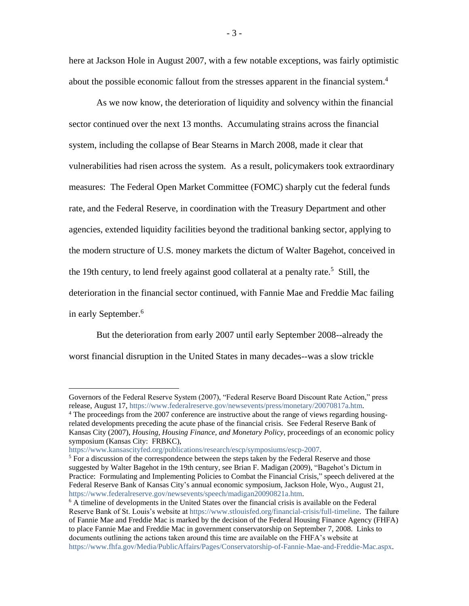here at Jackson Hole in August 2007, with a few notable exceptions, was fairly optimistic about the possible economic fallout from the stresses apparent in the financial system.<sup>4</sup>

As we now know, the deterioration of liquidity and solvency within the financial sector continued over the next 13 months. Accumulating strains across the financial system, including the collapse of Bear Stearns in March 2008, made it clear that vulnerabilities had risen across the system. As a result, policymakers took extraordinary measures: The Federal Open Market Committee (FOMC) sharply cut the federal funds rate, and the Federal Reserve, in coordination with the Treasury Department and other agencies, extended liquidity facilities beyond the traditional banking sector, applying to the modern structure of U.S. money markets the dictum of Walter Bagehot, conceived in the 19th century, to lend freely against good collateral at a penalty rate.<sup>5</sup> Still, the deterioration in the financial sector continued, with Fannie Mae and Freddie Mac failing in early September. 6

But the deterioration from early 2007 until early September 2008--already the worst financial disruption in the United States in many decades--was a slow trickle

Governors of the Federal Reserve System (2007), "Federal Reserve Board Discount Rate Action," press release, August 17, [https://www.federalreserve.gov/newsevents/press/monetary/20070817a.htm.](https://www.federalreserve.gov/newsevents/press/monetary/20070817a.htm)

<sup>4</sup> The proceedings from the 2007 conference are instructive about the range of views regarding housingrelated developments preceding the acute phase of the financial crisis. See Federal Reserve Bank of Kansas City (2007), *Housing, Housing Finance, and Monetary Policy,* proceedings of an economic policy symposium (Kansas City: FRBKC),

[https://www.kansascityfed.org/publications/research/escp/symposiums/escp-2007.](https://www.kansascityfed.org/publications/research/escp/symposiums/escp-2007)

 $<sup>5</sup>$  For a discussion of the correspondence between the steps taken by the Federal Reserve and those</sup> suggested by Walter Bagehot in the 19th century, see Brian F. Madigan (2009), "Bagehot's Dictum in Practice: Formulating and Implementing Policies to Combat the Financial Crisis," speech delivered at the Federal Reserve Bank of Kansas City's annual economic symposium, Jackson Hole, Wyo., August 21, [https://www.federalreserve.gov/newsevents/speech/madigan20090821a.htm.](https://www.federalreserve.gov/newsevents/speech/madigan20090821a.htm)

 $6$  A timeline of developments in the United States over the financial crisis is available on the Federal Reserve Bank of St. Louis's website at [https://www.stlouisfed.org/financial-crisis/full-timeline.](https://www.stlouisfed.org/financial-crisis/full-timeline) The failure of Fannie Mae and Freddie Mac is marked by the decision of the Federal Housing Finance Agency (FHFA) to place Fannie Mae and Freddie Mac in government conservatorship on September 7, 2008. Links to documents outlining the actions taken around this time are available on the FHFA's website at [https://www.fhfa.gov/Media/PublicAffairs/Pages/Conservatorship-of-Fannie-Mae-and-Freddie-Mac.aspx.](https://www.fhfa.gov/Media/PublicAffairs/Pages/Conservatorship-of-Fannie-Mae-and-Freddie-Mac.aspx)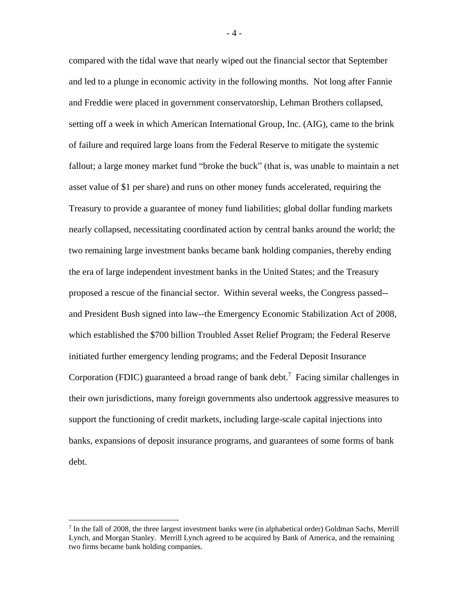compared with the tidal wave that nearly wiped out the financial sector that September and led to a plunge in economic activity in the following months. Not long after Fannie and Freddie were placed in government conservatorship, Lehman Brothers collapsed, setting off a week in which American International Group, Inc. (AIG), came to the brink of failure and required large loans from the Federal Reserve to mitigate the systemic fallout; a large money market fund "broke the buck" (that is, was unable to maintain a net asset value of \$1 per share) and runs on other money funds accelerated, requiring the Treasury to provide a guarantee of money fund liabilities; global dollar funding markets nearly collapsed, necessitating coordinated action by central banks around the world; the two remaining large investment banks became bank holding companies, thereby ending the era of large independent investment banks in the United States; and the Treasury proposed a rescue of the financial sector. Within several weeks, the Congress passed- and President Bush signed into law--the Emergency Economic Stabilization Act of 2008, which established the \$700 billion Troubled Asset Relief Program; the Federal Reserve initiated further emergency lending programs; and the Federal Deposit Insurance Corporation (FDIC) guaranteed a broad range of bank debt. <sup>7</sup> Facing similar challenges in their own jurisdictions, many foreign governments also undertook aggressive measures to support the functioning of credit markets, including large-scale capital injections into banks, expansions of deposit insurance programs, and guarantees of some forms of bank debt.

 $\overline{a}$ 

- 4 -

<sup>&</sup>lt;sup>7</sup> In the fall of 2008, the three largest investment banks were (in alphabetical order) Goldman Sachs, Merrill Lynch, and Morgan Stanley. Merrill Lynch agreed to be acquired by Bank of America, and the remaining two firms became bank holding companies.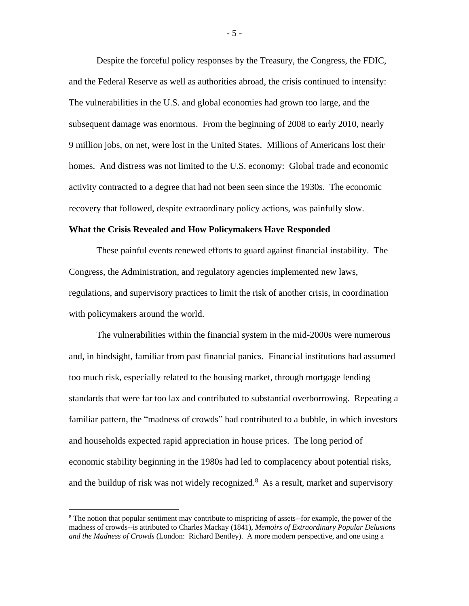Despite the forceful policy responses by the Treasury, the Congress, the FDIC, and the Federal Reserve as well as authorities abroad, the crisis continued to intensify: The vulnerabilities in the U.S. and global economies had grown too large, and the subsequent damage was enormous. From the beginning of 2008 to early 2010, nearly 9 million jobs, on net, were lost in the United States. Millions of Americans lost their homes. And distress was not limited to the U.S. economy: Global trade and economic activity contracted to a degree that had not been seen since the 1930s. The economic recovery that followed, despite extraordinary policy actions, was painfully slow.

#### **What the Crisis Revealed and How Policymakers Have Responded**

These painful events renewed efforts to guard against financial instability. The Congress, the Administration, and regulatory agencies implemented new laws, regulations, and supervisory practices to limit the risk of another crisis, in coordination with policymakers around the world.

The vulnerabilities within the financial system in the mid-2000s were numerous and, in hindsight, familiar from past financial panics. Financial institutions had assumed too much risk, especially related to the housing market, through mortgage lending standards that were far too lax and contributed to substantial overborrowing. Repeating a familiar pattern, the "madness of crowds" had contributed to a bubble, in which investors and households expected rapid appreciation in house prices. The long period of economic stability beginning in the 1980s had led to complacency about potential risks, and the buildup of risk was not widely recognized.<sup>8</sup> As a result, market and supervisory

 $\overline{a}$ 

- 5 -

<sup>&</sup>lt;sup>8</sup> The notion that popular sentiment may contribute to mispricing of assets--for example, the power of the madness of crowds--is attributed to Charles Mackay (1841), *Memoirs of Extraordinary Popular Delusions and the Madness of Crowds* (London: Richard Bentley). A more modern perspective, and one using a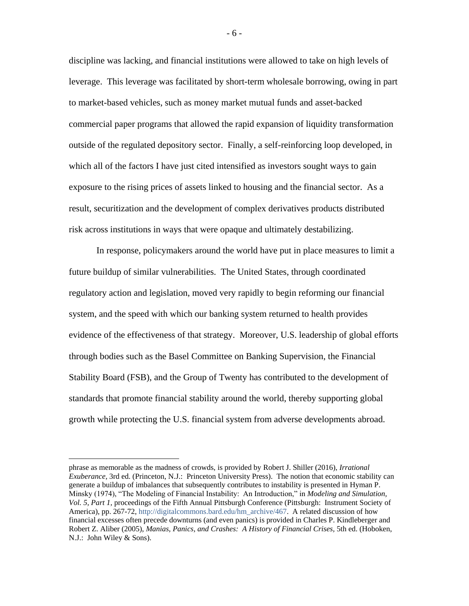discipline was lacking, and financial institutions were allowed to take on high levels of leverage. This leverage was facilitated by short-term wholesale borrowing, owing in part to market-based vehicles, such as money market mutual funds and asset-backed commercial paper programs that allowed the rapid expansion of liquidity transformation outside of the regulated depository sector. Finally, a self-reinforcing loop developed, in which all of the factors I have just cited intensified as investors sought ways to gain exposure to the rising prices of assets linked to housing and the financial sector. As a result, securitization and the development of complex derivatives products distributed risk across institutions in ways that were opaque and ultimately destabilizing.

In response, policymakers around the world have put in place measures to limit a future buildup of similar vulnerabilities. The United States, through coordinated regulatory action and legislation, moved very rapidly to begin reforming our financial system, and the speed with which our banking system returned to health provides evidence of the effectiveness of that strategy. Moreover, U.S. leadership of global efforts through bodies such as the Basel Committee on Banking Supervision, the Financial Stability Board (FSB), and the Group of Twenty has contributed to the development of standards that promote financial stability around the world, thereby supporting global growth while protecting the U.S. financial system from adverse developments abroad.

 $\overline{a}$ 

- 6 -

phrase as memorable as the madness of crowds, is provided by Robert J. Shiller (2016), *Irrational Exuberance,* 3rd ed. (Princeton, N.J.: Princeton University Press). The notion that economic stability can generate a buildup of imbalances that subsequently contributes to instability is presented in Hyman P. Minsky (1974), "The Modeling of Financial Instability: An Introduction," in *Modeling and Simulation, Vol. 5, Part 1,* proceedings of the Fifth Annual Pittsburgh Conference (Pittsburgh: Instrument Society of America), pp. 267-72, [http://digitalcommons.bard.edu/hm\\_archive/467.](http://digitalcommons.bard.edu/hm_archive/467/) A related discussion of how financial excesses often precede downturns (and even panics) is provided in Charles P. Kindleberger and Robert Z. Aliber (2005), *Manias, Panics, and Crashes: A History of Financial Crises,* 5th ed. (Hoboken, N.J.: John Wiley & Sons).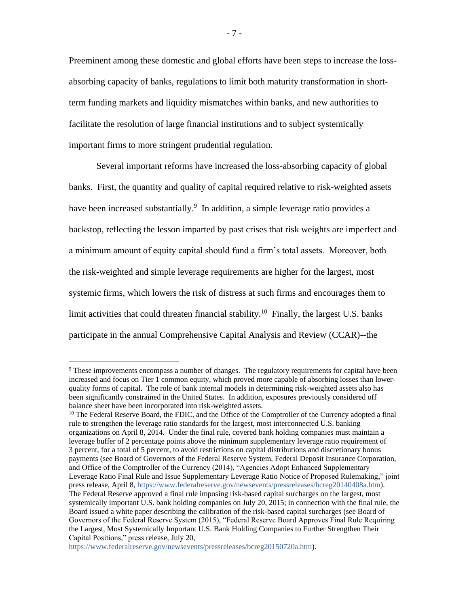Preeminent among these domestic and global efforts have been steps to increase the lossabsorbing capacity of banks, regulations to limit both maturity transformation in shortterm funding markets and liquidity mismatches within banks, and new authorities to facilitate the resolution of large financial institutions and to subject systemically important firms to more stringent prudential regulation.

Several important reforms have increased the loss-absorbing capacity of global banks. First, the quantity and quality of capital required relative to risk-weighted assets have been increased substantially.<sup>9</sup> In addition, a simple leverage ratio provides a backstop, reflecting the lesson imparted by past crises that risk weights are imperfect and a minimum amount of equity capital should fund a firm's total assets. Moreover, both the risk-weighted and simple leverage requirements are higher for the largest, most systemic firms, which lowers the risk of distress at such firms and encourages them to limit activities that could threaten financial stability.<sup>10</sup> Finally, the largest U.S. banks participate in the annual Comprehensive Capital Analysis and Review (CCAR)--the

<sup>&</sup>lt;sup>9</sup> These improvements encompass a number of changes. The regulatory requirements for capital have been increased and focus on Tier 1 common equity, which proved more capable of absorbing losses than lowerquality forms of capital. The role of bank internal models in determining risk-weighted assets also has been significantly constrained in the United States. In addition, exposures previously considered off balance sheet have been incorporated into risk-weighted assets.

<sup>&</sup>lt;sup>10</sup> The Federal Reserve Board, the FDIC, and the Office of the Comptroller of the Currency adopted a final rule to strengthen the leverage ratio standards for the largest, most interconnected U.S. banking organizations on April 8, 2014. Under the final rule, covered bank holding companies must maintain a leverage buffer of 2 percentage points above the minimum supplementary leverage ratio requirement of 3 percent, for a total of 5 percent, to avoid restrictions on capital distributions and discretionary bonus payments (see Board of Governors of the Federal Reserve System, Federal Deposit Insurance Corporation, and Office of the Comptroller of the Currency (2014), "Agencies Adopt Enhanced Supplementary Leverage Ratio Final Rule and Issue Supplementary Leverage Ratio Notice of Proposed Rulemaking," joint press release, April 8, [https://www.federalreserve.gov/newsevents/pressreleases/bcreg20140408a.htm\)](https://www.federalreserve.gov/newsevents/pressreleases/bcreg20140408a.htm). The Federal Reserve approved a final rule imposing risk-based capital surcharges on the largest, most systemically important U.S. bank holding companies on July 20, 2015; in connection with the final rule, the Board issued a white paper describing the calibration of the risk-based capital surcharges (see Board of Governors of the Federal Reserve System (2015), "Federal Reserve Board Approves Final Rule Requiring the Largest, Most Systemically Important U.S. Bank Holding Companies to Further Strengthen Their Capital Positions," press release, July 20,

[https://www.federalreserve.gov/newsevents/pressreleases/bcreg20150720a.htm\)](https://www.federalreserve.gov/newsevents/pressreleases/bcreg20150720a.htm).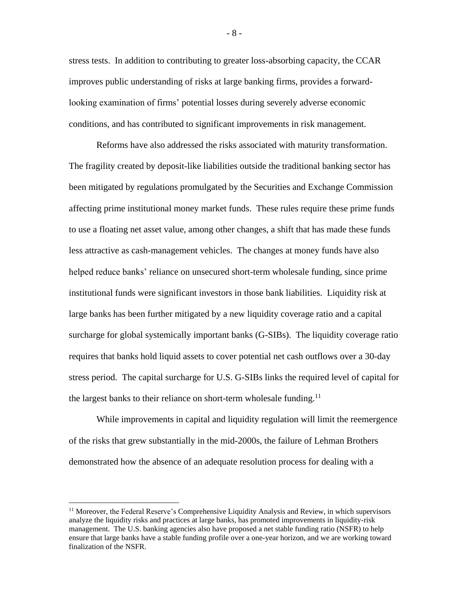stress tests. In addition to contributing to greater loss-absorbing capacity, the CCAR improves public understanding of risks at large banking firms, provides a forwardlooking examination of firms' potential losses during severely adverse economic conditions, and has contributed to significant improvements in risk management.

Reforms have also addressed the risks associated with maturity transformation. The fragility created by deposit-like liabilities outside the traditional banking sector has been mitigated by regulations promulgated by the Securities and Exchange Commission affecting prime institutional money market funds. These rules require these prime funds to use a floating net asset value, among other changes, a shift that has made these funds less attractive as cash-management vehicles. The changes at money funds have also helped reduce banks' reliance on unsecured short-term wholesale funding, since prime institutional funds were significant investors in those bank liabilities. Liquidity risk at large banks has been further mitigated by a new liquidity coverage ratio and a capital surcharge for global systemically important banks (G-SIBs). The liquidity coverage ratio requires that banks hold liquid assets to cover potential net cash outflows over a 30-day stress period. The capital surcharge for U.S. G-SIBs links the required level of capital for the largest banks to their reliance on short-term wholesale funding.<sup>11</sup>

While improvements in capital and liquidity regulation will limit the reemergence of the risks that grew substantially in the mid-2000s, the failure of Lehman Brothers demonstrated how the absence of an adequate resolution process for dealing with a

 $\overline{a}$ 

- 8 -

<sup>&</sup>lt;sup>11</sup> Moreover, the Federal Reserve's Comprehensive Liquidity Analysis and Review, in which supervisors analyze the liquidity risks and practices at large banks, has promoted improvements in liquidity-risk management. The U.S. banking agencies also have proposed a net stable funding ratio (NSFR) to help ensure that large banks have a stable funding profile over a one-year horizon, and we are working toward finalization of the NSFR.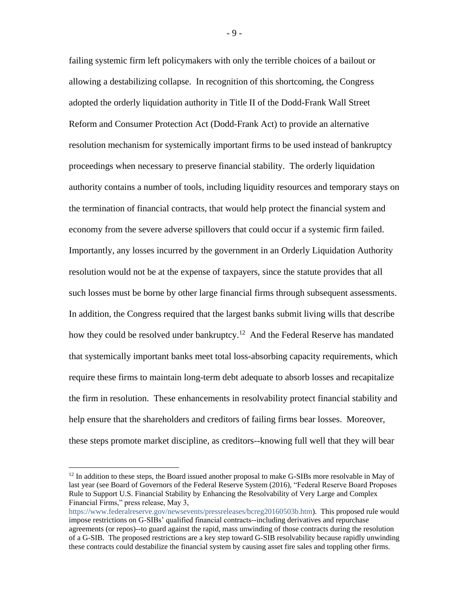failing systemic firm left policymakers with only the terrible choices of a bailout or allowing a destabilizing collapse. In recognition of this shortcoming, the Congress adopted the orderly liquidation authority in Title II of the Dodd-Frank Wall Street Reform and Consumer Protection Act (Dodd-Frank Act) to provide an alternative resolution mechanism for systemically important firms to be used instead of bankruptcy proceedings when necessary to preserve financial stability. The orderly liquidation authority contains a number of tools, including liquidity resources and temporary stays on the termination of financial contracts, that would help protect the financial system and economy from the severe adverse spillovers that could occur if a systemic firm failed. Importantly, any losses incurred by the government in an Orderly Liquidation Authority resolution would not be at the expense of taxpayers, since the statute provides that all such losses must be borne by other large financial firms through subsequent assessments. In addition, the Congress required that the largest banks submit living wills that describe how they could be resolved under bankruptcy.<sup>12</sup> And the Federal Reserve has mandated that systemically important banks meet total loss-absorbing capacity requirements, which require these firms to maintain long-term debt adequate to absorb losses and recapitalize the firm in resolution. These enhancements in resolvability protect financial stability and help ensure that the shareholders and creditors of failing firms bear losses. Moreover, these steps promote market discipline, as creditors--knowing full well that they will bear

 $\overline{a}$ 

- 9 -

 $12$  In addition to these steps, the Board issued another proposal to make G-SIBs more resolvable in May of last year (see Board of Governors of the Federal Reserve System (2016), "Federal Reserve Board Proposes Rule to Support U.S. Financial Stability by Enhancing the Resolvability of Very Large and Complex Financial Firms," press release, May 3,

[https://www.federalreserve.gov/newsevents/pressreleases/bcreg20160503b.htm\)](https://www.federalreserve.gov/newsevents/pressreleases/bcreg20160503b.htm). This proposed rule would impose restrictions on G-SIBs' qualified financial contracts--including derivatives and repurchase agreements (or repos)--to guard against the rapid, mass unwinding of those contracts during the resolution of a G-SIB. The proposed restrictions are a key step toward G-SIB resolvability because rapidly unwinding these contracts could destabilize the financial system by causing asset fire sales and toppling other firms.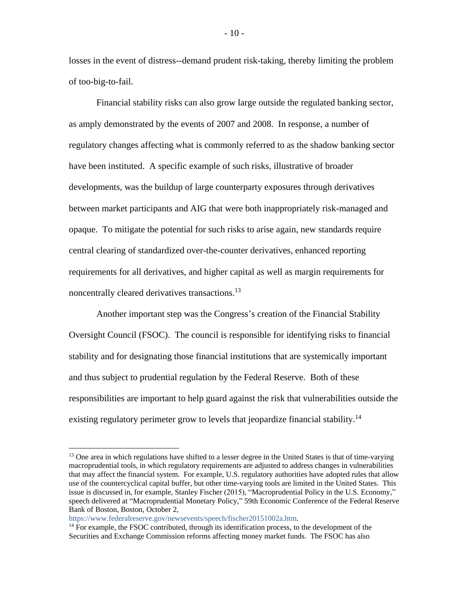losses in the event of distress--demand prudent risk-taking, thereby limiting the problem of too-big-to-fail.

Financial stability risks can also grow large outside the regulated banking sector, as amply demonstrated by the events of 2007 and 2008. In response, a number of regulatory changes affecting what is commonly referred to as the shadow banking sector have been instituted. A specific example of such risks, illustrative of broader developments, was the buildup of large counterparty exposures through derivatives between market participants and AIG that were both inappropriately risk-managed and opaque. To mitigate the potential for such risks to arise again, new standards require central clearing of standardized over-the-counter derivatives, enhanced reporting requirements for all derivatives, and higher capital as well as margin requirements for noncentrally cleared derivatives transactions.<sup>13</sup>

Another important step was the Congress's creation of the Financial Stability Oversight Council (FSOC). The council is responsible for identifying risks to financial stability and for designating those financial institutions that are systemically important and thus subject to prudential regulation by the Federal Reserve. Both of these responsibilities are important to help guard against the risk that vulnerabilities outside the existing regulatory perimeter grow to levels that jeopardize financial stability.<sup>14</sup>

[https://www.federalreserve.gov/newsevents/speech/fischer20151002a.htm.](https://www.federalreserve.gov/newsevents/speech/fischer20151002a.htm)

 $\overline{a}$ 

- 10 -

<sup>&</sup>lt;sup>13</sup> One area in which regulations have shifted to a lesser degree in the United States is that of time-varying macroprudential tools, in which regulatory requirements are adjusted to address changes in vulnerabilities that may affect the financial system. For example, U.S. regulatory authorities have adopted rules that allow use of the countercyclical capital buffer, but other time-varying tools are limited in the United States. This issue is discussed in, for example, Stanley Fischer (2015), "Macroprudential Policy in the U.S. Economy," speech delivered at "Macroprudential Monetary Policy," 59th Economic Conference of the Federal Reserve Bank of Boston, Boston, October 2,

<sup>&</sup>lt;sup>14</sup> For example, the FSOC contributed, through its identification process, to the development of the Securities and Exchange Commission reforms affecting money market funds. The FSOC has also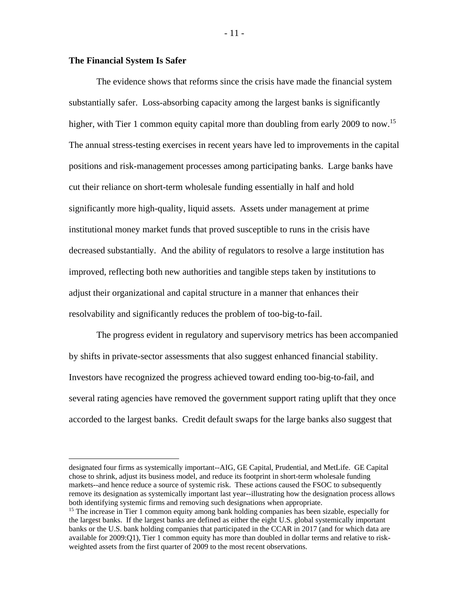# **The Financial System Is Safer**

 $\overline{a}$ 

The evidence shows that reforms since the crisis have made the financial system substantially safer. Loss-absorbing capacity among the largest banks is significantly higher, with Tier 1 common equity capital more than doubling from early 2009 to now.<sup>15</sup> The annual stress-testing exercises in recent years have led to improvements in the capital positions and risk-management processes among participating banks. Large banks have cut their reliance on short-term wholesale funding essentially in half and hold significantly more high-quality, liquid assets. Assets under management at prime institutional money market funds that proved susceptible to runs in the crisis have decreased substantially. And the ability of regulators to resolve a large institution has improved, reflecting both new authorities and tangible steps taken by institutions to adjust their organizational and capital structure in a manner that enhances their resolvability and significantly reduces the problem of too-big-to-fail.

The progress evident in regulatory and supervisory metrics has been accompanied by shifts in private-sector assessments that also suggest enhanced financial stability. Investors have recognized the progress achieved toward ending too-big-to-fail, and several rating agencies have removed the government support rating uplift that they once accorded to the largest banks. Credit default swaps for the large banks also suggest that

- 11 -

designated four firms as systemically important--AIG, GE Capital, Prudential, and MetLife. GE Capital chose to shrink, adjust its business model, and reduce its footprint in short-term wholesale funding markets--and hence reduce a source of systemic risk. These actions caused the FSOC to subsequently remove its designation as systemically important last year--illustrating how the designation process allows both identifying systemic firms and removing such designations when appropriate.

<sup>&</sup>lt;sup>15</sup> The increase in Tier 1 common equity among bank holding companies has been sizable, especially for the largest banks. If the largest banks are defined as either the eight U.S. global systemically important banks or the U.S. bank holding companies that participated in the CCAR in 2017 (and for which data are available for 2009:Q1), Tier 1 common equity has more than doubled in dollar terms and relative to riskweighted assets from the first quarter of 2009 to the most recent observations.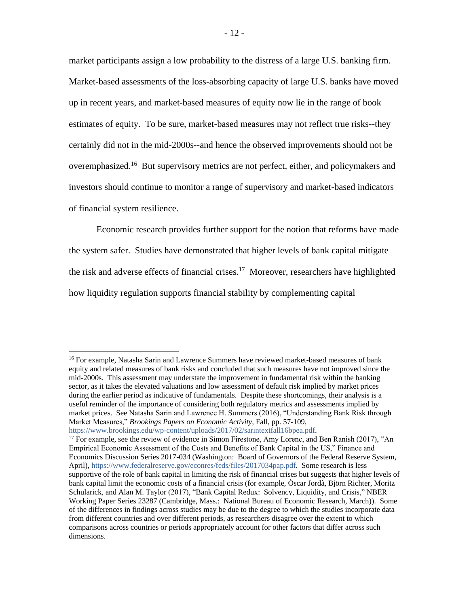market participants assign a low probability to the distress of a large U.S. banking firm. Market-based assessments of the loss-absorbing capacity of large U.S. banks have moved up in recent years, and market-based measures of equity now lie in the range of book estimates of equity. To be sure, market-based measures may not reflect true risks--they certainly did not in the mid-2000s--and hence the observed improvements should not be overemphasized.<sup>16</sup> But supervisory metrics are not perfect, either, and policymakers and investors should continue to monitor a range of supervisory and market-based indicators of financial system resilience.

Economic research provides further support for the notion that reforms have made the system safer. Studies have demonstrated that higher levels of bank capital mitigate the risk and adverse effects of financial crises.<sup>17</sup> Moreover, researchers have highlighted how liquidity regulation supports financial stability by complementing capital

<sup>&</sup>lt;sup>16</sup> For example, Natasha Sarin and Lawrence Summers have reviewed market-based measures of bank equity and related measures of bank risks and concluded that such measures have not improved since the mid-2000s. This assessment may understate the improvement in fundamental risk within the banking sector, as it takes the elevated valuations and low assessment of default risk implied by market prices during the earlier period as indicative of fundamentals. Despite these shortcomings, their analysis is a useful reminder of the importance of considering both regulatory metrics and assessments implied by market prices. See Natasha Sarin and Lawrence H. Summers (2016), "Understanding Bank Risk through Market Measures," *Brookings Papers on Economic Activity,* Fall, pp. 57-109,

[https://www.brookings.edu/wp-content/uploads/2017/02/sarintextfall16bpea.pdf.](https://www.brookings.edu/wp-content/uploads/2017/02/sarintextfall16bpea.pdf)

<sup>&</sup>lt;sup>17</sup> For example, see the review of evidence in Simon Firestone, Amy Lorenc, and Ben Ranish (2017), "An Empirical Economic Assessment of the Costs and Benefits of Bank Capital in the US," Finance and Economics Discussion Series 2017-034 (Washington: Board of Governors of the Federal Reserve System, April), [https://www.federalreserve.gov/econres/feds/files/2017034pap.pdf.](https://www.federalreserve.gov/econres/feds/files/2017034pap.pdf) Some research is less supportive of the role of bank capital in limiting the risk of financial crises but suggests that higher levels of bank capital limit the economic costs of a financial crisis (for example, Òscar Jordà, Björn Richter, Moritz Schularick, and Alan M. Taylor (2017), "Bank Capital Redux: Solvency, Liquidity, and Crisis," NBER Working Paper Series 23287 (Cambridge, Mass.: National Bureau of Economic Research, March)). Some of the differences in findings across studies may be due to the degree to which the studies incorporate data from different countries and over different periods, as researchers disagree over the extent to which comparisons across countries or periods appropriately account for other factors that differ across such dimensions.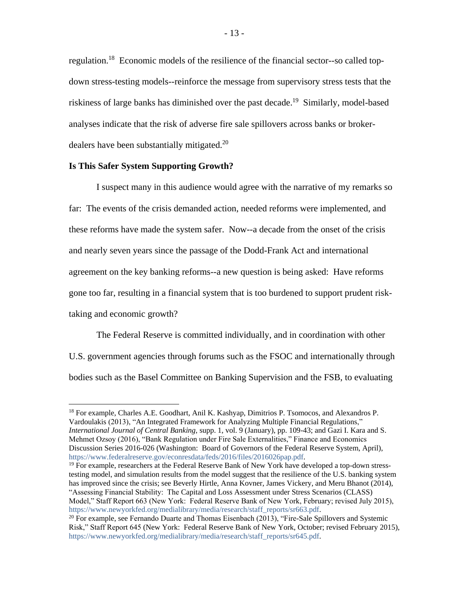regulation.<sup>18</sup> Economic models of the resilience of the financial sector--so called topdown stress-testing models--reinforce the message from supervisory stress tests that the riskiness of large banks has diminished over the past decade.<sup>19</sup> Similarly, model-based analyses indicate that the risk of adverse fire sale spillovers across banks or brokerdealers have been substantially mitigated.<sup>20</sup>

## **Is This Safer System Supporting Growth?**

 $\overline{a}$ 

I suspect many in this audience would agree with the narrative of my remarks so far: The events of the crisis demanded action, needed reforms were implemented, and these reforms have made the system safer. Now--a decade from the onset of the crisis and nearly seven years since the passage of the Dodd-Frank Act and international agreement on the key banking reforms--a new question is being asked: Have reforms gone too far, resulting in a financial system that is too burdened to support prudent risktaking and economic growth?

The Federal Reserve is committed individually, and in coordination with other U.S. government agencies through forums such as the FSOC and internationally through bodies such as the Basel Committee on Banking Supervision and the FSB, to evaluating

<sup>19</sup> For example, researchers at the Federal Reserve Bank of New York have developed a top-down stresstesting model, and simulation results from the model suggest that the resilience of the U.S. banking system has improved since the crisis; see Beverly Hirtle, Anna Kovner, James Vickery, and Meru Bhanot (2014), "Assessing Financial Stability: The Capital and Loss Assessment under Stress Scenarios (CLASS) Model," Staff Report 663 (New York: Federal Reserve Bank of New York, February; revised July 2015), [https://www.newyorkfed.org/medialibrary/media/research/staff\\_reports/sr663.pdf.](https://www.newyorkfed.org/medialibrary/media/research/staff_reports/sr663.pdf)

<sup>&</sup>lt;sup>18</sup> For example, Charles A.E. Goodhart, Anil K. Kashyap, Dimitrios P. Tsomocos, and Alexandros P. Vardoulakis (2013), "An Integrated Framework for Analyzing Multiple Financial Regulations," *International Journal of Central Banking,* supp. 1, vol. 9 (January), pp. 109-43; and Gazi I. Kara and S. Mehmet Ozsoy (2016), "Bank Regulation under Fire Sale Externalities," Finance and Economics Discussion Series 2016-026 (Washington: Board of Governors of the Federal Reserve System, April), [https://www.federalreserve.gov/econresdata/feds/2016/files/2016026pap.pdf.](https://www.federalreserve.gov/econresdata/feds/2016/files/2016026pap.pdf)

 $20$  For example, see Fernando Duarte and Thomas Eisenbach (2013), "Fire-Sale Spillovers and Systemic Risk," Staff Report 645 (New York: Federal Reserve Bank of New York, October; revised February 2015), [https://www.newyorkfed.org/medialibrary/media/research/staff\\_reports/sr645.pdf.](https://www.newyorkfed.org/medialibrary/media/research/staff_reports/sr645.pdf)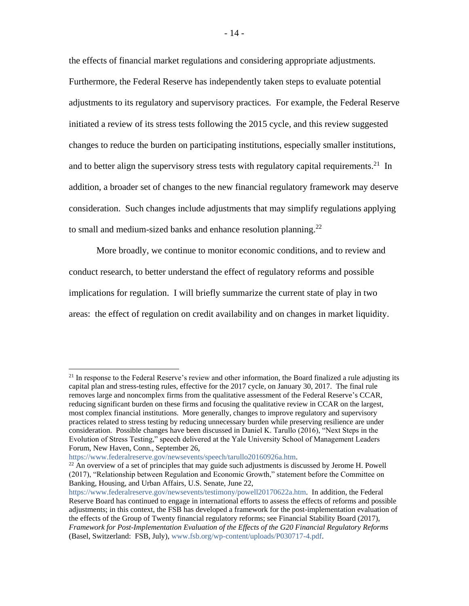the effects of financial market regulations and considering appropriate adjustments. Furthermore, the Federal Reserve has independently taken steps to evaluate potential adjustments to its regulatory and supervisory practices. For example, the Federal Reserve initiated a review of its stress tests following the 2015 cycle, and this review suggested changes to reduce the burden on participating institutions, especially smaller institutions, and to better align the supervisory stress tests with regulatory capital requirements.<sup>21</sup> In addition, a broader set of changes to the new financial regulatory framework may deserve consideration. Such changes include adjustments that may simplify regulations applying to small and medium-sized banks and enhance resolution planning.<sup>22</sup>

More broadly, we continue to monitor economic conditions, and to review and conduct research, to better understand the effect of regulatory reforms and possible implications for regulation. I will briefly summarize the current state of play in two areas: the effect of regulation on credit availability and on changes in market liquidity.

<sup>&</sup>lt;sup>21</sup> In response to the Federal Reserve's review and other information, the Board finalized a rule adjusting its capital plan and stress-testing rules, effective for the 2017 cycle, on January 30, 2017. The final rule removes large and noncomplex firms from the qualitative assessment of the Federal Reserve's CCAR, reducing significant burden on these firms and focusing the qualitative review in CCAR on the largest, most complex financial institutions. More generally, changes to improve regulatory and supervisory practices related to stress testing by reducing unnecessary burden while preserving resilience are under consideration. Possible changes have been discussed in Daniel K. Tarullo (2016), "Next Steps in the Evolution of Stress Testing," speech delivered at the Yale University School of Management Leaders Forum, New Haven, Conn., September 26,

[https://www.federalreserve.gov/newsevents/speech/tarullo20160926a.htm.](https://www.federalreserve.gov/newsevents/speech/tarullo20160926a.htm)

 $22$  An overview of a set of principles that may guide such adjustments is discussed by Jerome H. Powell (2017), "Relationship between Regulation and Economic Growth," statement before the Committee on Banking, Housing, and Urban Affairs, U.S. Senate, June 22,

[https://www.federalreserve.gov/newsevents/testimony/powell20170622a.htm.](https://www.federalreserve.gov/newsevents/testimony/powell20170622a.htm) In addition, the Federal Reserve Board has continued to engage in international efforts to assess the effects of reforms and possible adjustments; in this context, the FSB has developed a framework for the post-implementation evaluation of the effects of the Group of Twenty financial regulatory reforms; see Financial Stability Board (2017), *Framework for Post-Implementation Evaluation of the Effects of the G20 Financial Regulatory Reforms* (Basel, Switzerland: FSB, July), [www.fsb.org/wp-content/uploads/P030717-4.pdf.](http://www.fsb.org/wp-content/uploads/P030717-4.pdf)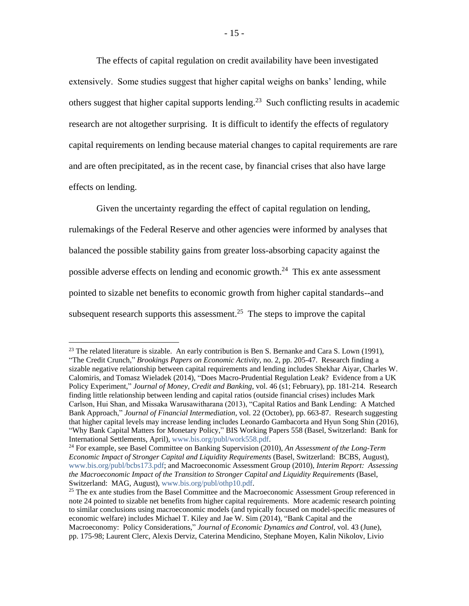The effects of capital regulation on credit availability have been investigated extensively. Some studies suggest that higher capital weighs on banks' lending, while others suggest that higher capital supports lending.<sup>23</sup> Such conflicting results in academic research are not altogether surprising. It is difficult to identify the effects of regulatory capital requirements on lending because material changes to capital requirements are rare and are often precipitated, as in the recent case, by financial crises that also have large effects on lending.

Given the uncertainty regarding the effect of capital regulation on lending, rulemakings of the Federal Reserve and other agencies were informed by analyses that balanced the possible stability gains from greater loss-absorbing capacity against the possible adverse effects on lending and economic growth.<sup>24</sup> This ex ante assessment pointed to sizable net benefits to economic growth from higher capital standards--and subsequent research supports this assessment.<sup>25</sup> The steps to improve the capital

<sup>&</sup>lt;sup>23</sup> The related literature is sizable. An early contribution is Ben S. Bernanke and Cara S. Lown (1991), "The Credit Crunch," *Brookings Papers on Economic Activity*, no. 2, pp. 205-47. Research finding a sizable negative relationship between capital requirements and lending includes Shekhar Aiyar, Charles W. Calomiris, and Tomasz Wieladek (2014), "Does Macro-Prudential Regulation Leak? Evidence from a UK Policy Experiment," *Journal of Money, Credit and Banking,* vol. 46 (s1; February), pp. 181-214. Research finding little relationship between lending and capital ratios (outside financial crises) includes Mark Carlson, Hui Shan, and Missaka Warusawitharana (2013), "Capital Ratios and Bank Lending: A Matched Bank Approach," *Journal of Financial Intermediation*, vol. 22 (October), pp. 663-87. Research suggesting that higher capital levels may increase lending includes Leonardo Gambacorta and Hyun Song Shin (2016), "Why Bank Capital Matters for Monetary Policy," BIS Working Papers 558 (Basel, Switzerland: Bank for International Settlements, April)[, www.bis.org/publ/work558.pdf.](http://www.bis.org/publ/work558.pdf)

<sup>24</sup> For example, see Basel Committee on Banking Supervision (2010), *An Assessment of the Long-Term Economic Impact of Stronger Capital and Liquidity Requirements* (Basel, Switzerland: BCBS, August), [www.bis.org/publ/bcbs173.pdf;](http://www.bis.org/publ/bcbs173.pdf) and Macroeconomic Assessment Group (2010), *Interim Report: Assessing the Macroeconomic Impact of the Transition to Stronger Capital and Liquidity Requirements* (Basel, Switzerland: MAG, August), [www.bis.org/publ/othp10.pdf.](http://www.bis.org/publ/othp10.pdf)

 $25$  The ex ante studies from the Basel Committee and the Macroeconomic Assessment Group referenced in note 24 pointed to sizable net benefits from higher capital requirements. More academic research pointing to similar conclusions using macroeconomic models (and typically focused on model-specific measures of economic welfare) includes Michael T. Kiley and Jae W. Sim (2014), "Bank Capital and the Macroeconomy: Policy Considerations," *Journal of Economic Dynamics and Control,* vol. 43 (June), pp. 175-98; Laurent Clerc, Alexis Derviz, Caterina Mendicino, Stephane Moyen, Kalin Nikolov, Livio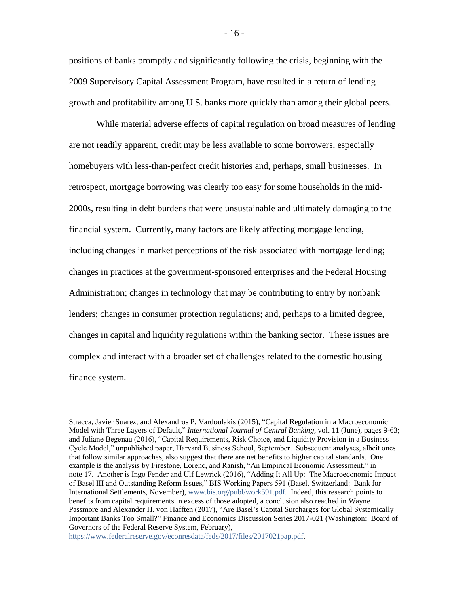positions of banks promptly and significantly following the crisis, beginning with the 2009 Supervisory Capital Assessment Program, have resulted in a return of lending growth and profitability among U.S. banks more quickly than among their global peers.

While material adverse effects of capital regulation on broad measures of lending are not readily apparent, credit may be less available to some borrowers, especially homebuyers with less-than-perfect credit histories and, perhaps, small businesses. In retrospect, mortgage borrowing was clearly too easy for some households in the mid-2000s, resulting in debt burdens that were unsustainable and ultimately damaging to the financial system. Currently, many factors are likely affecting mortgage lending, including changes in market perceptions of the risk associated with mortgage lending; changes in practices at the government-sponsored enterprises and the Federal Housing Administration; changes in technology that may be contributing to entry by nonbank lenders; changes in consumer protection regulations; and, perhaps to a limited degree, changes in capital and liquidity regulations within the banking sector. These issues are complex and interact with a broader set of challenges related to the domestic housing finance system.

[https://www.federalreserve.gov/econresdata/feds/2017/files/2017021pap.pdf.](https://www.federalreserve.gov/econresdata/feds/2017/files/2017021pap.pdf) 

Stracca, Javier Suarez, and Alexandros P. Vardoulakis (2015), "Capital Regulation in a Macroeconomic Model with Three Layers of Default," *International Journal of Central Banking,* vol. 11 (June), pages 9-63; and Juliane Begenau (2016), "Capital Requirements, Risk Choice, and Liquidity Provision in a Business Cycle Model," unpublished paper, Harvard Business School, September. Subsequent analyses, albeit ones that follow similar approaches, also suggest that there are net benefits to higher capital standards. One example is the analysis by Firestone, Lorenc, and Ranish, "An Empirical Economic Assessment," in note 17. Another is Ingo Fender and Ulf Lewrick (2016), "Adding It All Up: The Macroeconomic Impact of Basel III and Outstanding Reform Issues," BIS Working Papers 591 (Basel, Switzerland: Bank for International Settlements, November), [www.bis.org/publ/work591.pdf.](http://www.bis.org/publ/work591.pdf) Indeed, this research points to benefits from capital requirements in excess of those adopted, a conclusion also reached in Wayne Passmore and Alexander H. von Hafften (2017), "Are Basel's Capital Surcharges for Global Systemically Important Banks Too Small?" Finance and Economics Discussion Series 2017-021 (Washington: Board of Governors of the Federal Reserve System, February),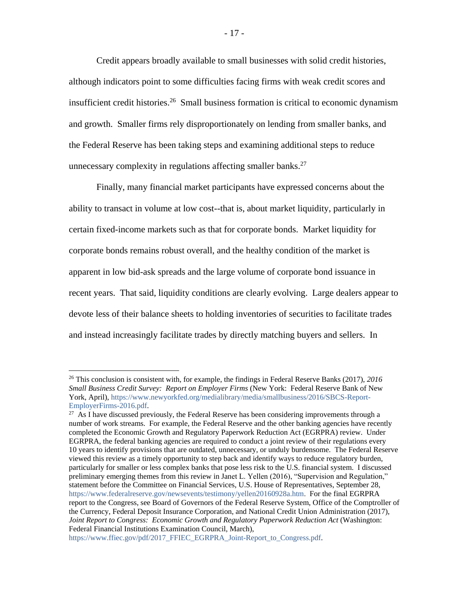Credit appears broadly available to small businesses with solid credit histories, although indicators point to some difficulties facing firms with weak credit scores and insufficient credit histories.<sup>26</sup> Small business formation is critical to economic dynamism and growth. Smaller firms rely disproportionately on lending from smaller banks, and the Federal Reserve has been taking steps and examining additional steps to reduce unnecessary complexity in regulations affecting smaller banks. $^{27}$ 

Finally, many financial market participants have expressed concerns about the ability to transact in volume at low cost--that is, about market liquidity, particularly in certain fixed-income markets such as that for corporate bonds. Market liquidity for corporate bonds remains robust overall, and the healthy condition of the market is apparent in low bid-ask spreads and the large volume of corporate bond issuance in recent years. That said, liquidity conditions are clearly evolving. Large dealers appear to devote less of their balance sheets to holding inventories of securities to facilitate trades and instead increasingly facilitate trades by directly matching buyers and sellers. In

<sup>26</sup> This conclusion is consistent with, for example, the findings in Federal Reserve Banks (2017), *2016 Small Business Credit Survey: Report on Employer Firms* (New York: Federal Reserve Bank of New York, April), [https://www.newyorkfed.org/medialibrary/media/smallbusiness/2016/SBCS-Report-](https://www.newyorkfed.org/medialibrary/media/smallbusiness/2016/SBCS-Report-EmployerFirms-2016.pdf)[EmployerFirms-2016.pdf.](https://www.newyorkfed.org/medialibrary/media/smallbusiness/2016/SBCS-Report-EmployerFirms-2016.pdf)

 $27$  As I have discussed previously, the Federal Reserve has been considering improvements through a number of work streams. For example, the Federal Reserve and the other banking agencies have recently completed the Economic Growth and Regulatory Paperwork Reduction Act (EGRPRA) review. Under EGRPRA, the federal banking agencies are required to conduct a joint review of their regulations every 10 years to identify provisions that are outdated, unnecessary, or unduly burdensome. The Federal Reserve viewed this review as a timely opportunity to step back and identify ways to reduce regulatory burden, particularly for smaller or less complex banks that pose less risk to the U.S. financial system. I discussed preliminary emerging themes from this review in Janet L. Yellen (2016), "Supervision and Regulation," statement before the Committee on Financial Services, U.S. House of Representatives, September 28, [https://www.federalreserve.gov/newsevents/testimony/yellen20160928a.htm.](https://www.federalreserve.gov/newsevents/testimony/yellen20160928a.htm) For the final EGRPRA report to the Congress, see Board of Governors of the Federal Reserve System, Office of the Comptroller of the Currency, Federal Deposit Insurance Corporation, and National Credit Union Administration (2017), *Joint Report to Congress: Economic Growth and Regulatory Paperwork Reduction Act* (Washington: Federal Financial Institutions Examination Council, March),

[https://www.ffiec.gov/pdf/2017\\_FFIEC\\_EGRPRA\\_Joint-Report\\_to\\_Congress.pdf.](https://www.ffiec.gov/pdf/2017_FFIEC_EGRPRA_Joint-Report_to_Congress.pdf#_blank)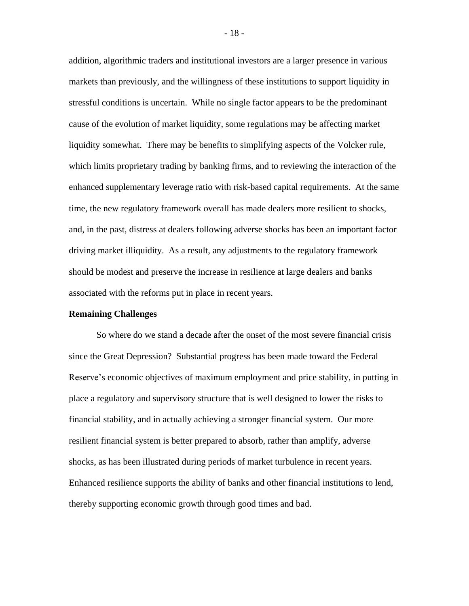addition, algorithmic traders and institutional investors are a larger presence in various markets than previously, and the willingness of these institutions to support liquidity in stressful conditions is uncertain. While no single factor appears to be the predominant cause of the evolution of market liquidity, some regulations may be affecting market liquidity somewhat. There may be benefits to simplifying aspects of the Volcker rule, which limits proprietary trading by banking firms, and to reviewing the interaction of the enhanced supplementary leverage ratio with risk-based capital requirements. At the same time, the new regulatory framework overall has made dealers more resilient to shocks, and, in the past, distress at dealers following adverse shocks has been an important factor driving market illiquidity. As a result, any adjustments to the regulatory framework should be modest and preserve the increase in resilience at large dealers and banks associated with the reforms put in place in recent years.

### **Remaining Challenges**

So where do we stand a decade after the onset of the most severe financial crisis since the Great Depression? Substantial progress has been made toward the Federal Reserve's economic objectives of maximum employment and price stability, in putting in place a regulatory and supervisory structure that is well designed to lower the risks to financial stability, and in actually achieving a stronger financial system. Our more resilient financial system is better prepared to absorb, rather than amplify, adverse shocks, as has been illustrated during periods of market turbulence in recent years. Enhanced resilience supports the ability of banks and other financial institutions to lend, thereby supporting economic growth through good times and bad.